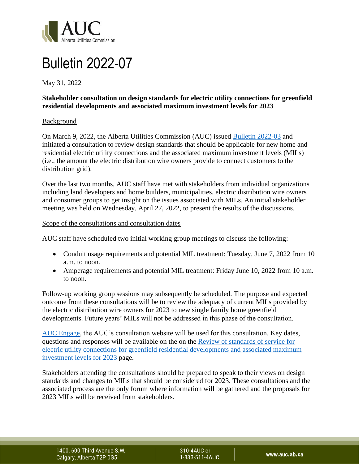

# Bulletin 2022-07

May 31, 2022

## **Stakeholder consultation on design standards for electric utility connections for greenfield residential developments and associated maximum investment levels for 2023**

### Background

On March 9, 2022, the Alberta Utilities Commission (AUC) issued [Bulletin 2022-03](https://media.www.auc.ab.ca/prd-wp-uploads/News/2022/Bulletin%202022-03.pdf) and initiated a consultation to review design standards that should be applicable for new home and residential electric utility connections and the associated maximum investment levels (MILs) (i.e., the amount the electric distribution wire owners provide to connect customers to the distribution grid).

Over the last two months, AUC staff have met with stakeholders from individual organizations including land developers and home builders, municipalities, electric distribution wire owners and consumer groups to get insight on the issues associated with MILs. An initial stakeholder meeting was held on Wednesday, April 27, 2022, to present the results of the discussions.

#### Scope of the consultations and consultation dates

AUC staff have scheduled two initial working group meetings to discuss the following:

- Conduit usage requirements and potential MIL treatment: Tuesday, June 7, 2022 from 10 a.m. to noon.
- Amperage requirements and potential MIL treatment: Friday June 10, 2022 from 10 a.m. to noon.

Follow-up working group sessions may subsequently be scheduled. The purpose and expected outcome from these consultations will be to review the adequacy of current MILs provided by the electric distribution wire owners for 2023 to new single family home greenfield developments. Future years' MILs will not be addressed in this phase of the consultation.

[AUC Engage,](https://engage.auc.ab.ca/) the AUC's consultation website will be used for this consultation. Key dates, questions and responses will be available on the on the [Review of standards of service for](engage.auc.ab.ca/review-of-standards-of-service-for-new-home-connections-and-mils-2023)  [electric utility connections for greenfield residential developments and associated maximum](engage.auc.ab.ca/review-of-standards-of-service-for-new-home-connections-and-mils-2023)  [investment levels for 2023](engage.auc.ab.ca/review-of-standards-of-service-for-new-home-connections-and-mils-2023) page.

Stakeholders attending the consultations should be prepared to speak to their views on design standards and changes to MILs that should be considered for 2023. These consultations and the associated process are the only forum where information will be gathered and the proposals for 2023 MILs will be received from stakeholders.

1400, 600 Third Avenue S.W. Calgary, Alberta T2P 0G5

310-4AUC or 1-833-511-4AUC